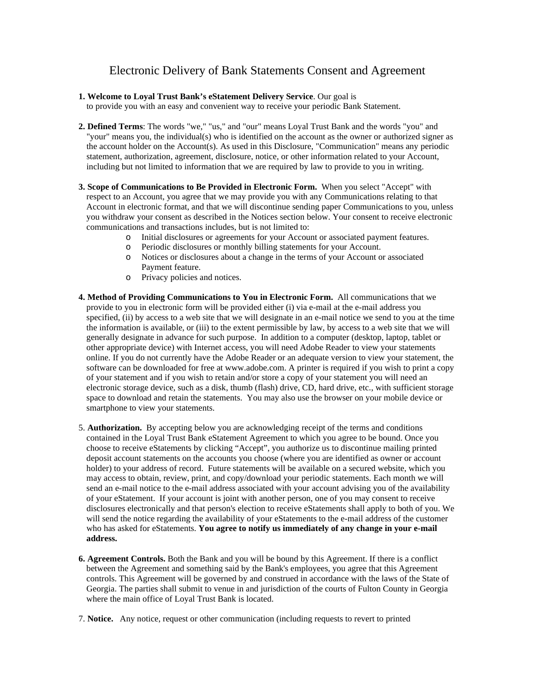## Electronic Delivery of Bank Statements Consent and Agreement

## **1. Welcome to Loyal Trust Bank's eStatement Delivery Service**. Our goal is

to provide you with an easy and convenient way to receive your periodic Bank Statement.

- **2. Defined Terms**: The words "we," "us," and "our" means Loyal Trust Bank and the words "you" and "your" means you, the individual(s) who is identified on the account as the owner or authorized signer as the account holder on the Account(s). As used in this Disclosure, "Communication" means any periodic statement, authorization, agreement, disclosure, notice, or other information related to your Account, including but not limited to information that we are required by law to provide to you in writing.
- **3. Scope of Communications to Be Provided in Electronic Form.** When you select "Accept" with respect to an Account, you agree that we may provide you with any Communications relating to that Account in electronic format, and that we will discontinue sending paper Communications to you, unless you withdraw your consent as described in the Notices section below. Your consent to receive electronic communications and transactions includes, but is not limited to:
	- o Initial disclosures or agreements for your Account or associated payment features.
	- o Periodic disclosures or monthly billing statements for your Account.
	- Notices or disclosures about a change in the terms of your Account or associated Payment feature.
	- o Privacy policies and notices.
- **4. Method of Providing Communications to You in Electronic Form.** All communications that we provide to you in electronic form will be provided either (i) via e-mail at the e-mail address you specified, (ii) by access to a web site that we will designate in an e-mail notice we send to you at the time the information is available, or (iii) to the extent permissible by law, by access to a web site that we will generally designate in advance for such purpose. In addition to a computer (desktop, laptop, tablet or other appropriate device) with Internet access, you will need Adobe Reader to view your statements online. If you do not currently have the Adobe Reader or an adequate version to view your statement, the software can be downloaded for free at www.adobe.com. A printer is required if you wish to print a copy of your statement and if you wish to retain and/or store a copy of your statement you will need an electronic storage device, such as a disk, thumb (flash) drive, CD, hard drive, etc., with sufficient storage space to download and retain the statements. You may also use the browser on your mobile device or smartphone to view your statements.
- 5. **Authorization.** By accepting below you are acknowledging receipt of the terms and conditions contained in the Loyal Trust Bank eStatement Agreement to which you agree to be bound. Once you choose to receive eStatements by clicking "Accept", you authorize us to discontinue mailing printed deposit account statements on the accounts you choose (where you are identified as owner or account holder) to your address of record. Future statements will be available on a secured website, which you may access to obtain, review, print, and copy/download your periodic statements. Each month we will send an e-mail notice to the e-mail address associated with your account advising you of the availability of your eStatement. If your account is joint with another person, one of you may consent to receive disclosures electronically and that person's election to receive eStatements shall apply to both of you. We will send the notice regarding the availability of your eStatements to the e-mail address of the customer who has asked for eStatements. **You agree to notify us immediately of any change in your e-mail address.**
- **6. Agreement Controls.** Both the Bank and you will be bound by this Agreement. If there is a conflict between the Agreement and something said by the Bank's employees, you agree that this Agreement controls. This Agreement will be governed by and construed in accordance with the laws of the State of Georgia. The parties shall submit to venue in and jurisdiction of the courts of Fulton County in Georgia where the main office of Loyal Trust Bank is located.
- 7. **Notice.** Any notice, request or other communication (including requests to revert to printed